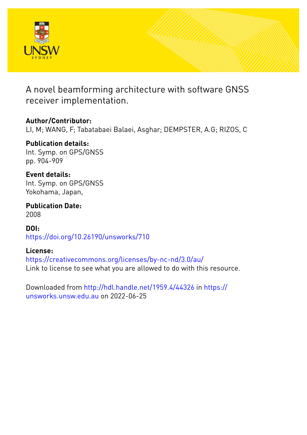

A novel beamforming architecture with software GNSS receiver implementation.

### **Author/Contributor:**

LI, M; WANG, F; Tabatabaei Balaei, Asghar; DEMPSTER, A.G; RIZOS, C

#### **Publication details:** Int. Symp. on GPS/GNSS pp. 904-909

**Event details:** Int. Symp. on GPS/GNSS Yokohama, Japan,

**Publication Date:** 2008

**DOI:** [https://doi.org/10.26190/unsworks/710](http://dx.doi.org/https://doi.org/10.26190/unsworks/710)

## **License:**

<https://creativecommons.org/licenses/by-nc-nd/3.0/au/> Link to license to see what you are allowed to do with this resource.

Downloaded from <http://hdl.handle.net/1959.4/44326> in [https://](https://unsworks.unsw.edu.au) [unsworks.unsw.edu.au](https://unsworks.unsw.edu.au) on 2022-06-25